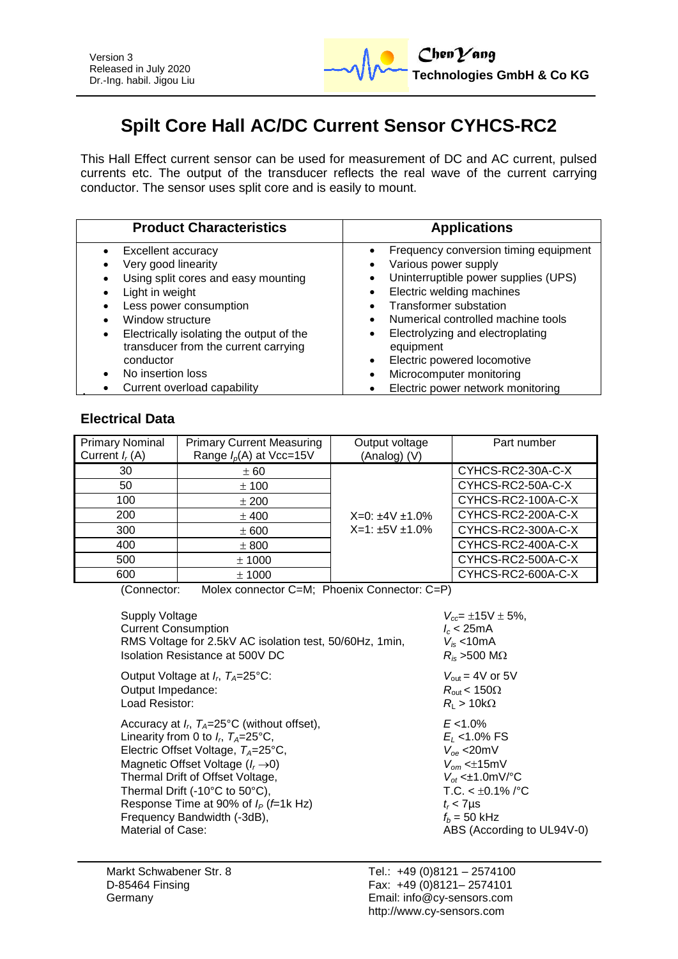

# **Spilt Core Hall AC/DC Current Sensor CYHCS-RC2**

This Hall Effect current sensor can be used for measurement of DC and AC current, pulsed currents etc. The output of the transducer reflects the real wave of the current carrying conductor. The sensor uses split core and is easily to mount.

| <b>Product Characteristics</b>                                                                                                                                                                                                                                                                              | <b>Applications</b>                                                                                                                                                                                                                                                                                                                                                                               |
|-------------------------------------------------------------------------------------------------------------------------------------------------------------------------------------------------------------------------------------------------------------------------------------------------------------|---------------------------------------------------------------------------------------------------------------------------------------------------------------------------------------------------------------------------------------------------------------------------------------------------------------------------------------------------------------------------------------------------|
| Excellent accuracy<br>Very good linearity<br>Using split cores and easy mounting<br>Light in weight<br>Less power consumption<br>Window structure<br>Electrically isolating the output of the<br>٠<br>transducer from the current carrying<br>conductor<br>No insertion loss<br>Current overload capability | Frequency conversion timing equipment<br>Various power supply<br>Uninterruptible power supplies (UPS)<br>$\bullet$<br>Electric welding machines<br><b>Transformer substation</b><br>Numerical controlled machine tools<br>Electrolyzing and electroplating<br>$\bullet$<br>equipment<br>Electric powered locomotive<br>$\bullet$<br>Microcomputer monitoring<br>Electric power network monitoring |

## **Electrical Data**

| <b>Primary Nominal</b><br>Current $I_r(A)$ | <b>Primary Current Measuring</b><br>Range $I_p(A)$ at Vcc=15V | Output voltage<br>(Analog) (V)                     | Part number        |
|--------------------------------------------|---------------------------------------------------------------|----------------------------------------------------|--------------------|
| 30                                         | ± 60                                                          | $X=0: \pm 4V \pm 1.0\%$<br>$X=1: \pm 5V \pm 1.0\%$ | CYHCS-RC2-30A-C-X  |
| 50                                         | ± 100                                                         |                                                    | CYHCS-RC2-50A-C-X  |
| 100                                        | ± 200                                                         |                                                    | CYHCS-RC2-100A-C-X |
| 200                                        | $±$ 400                                                       |                                                    | CYHCS-RC2-200A-C-X |
| 300                                        | ± 600                                                         |                                                    | CYHCS-RC2-300A-C-X |
| 400                                        | ± 800                                                         |                                                    | CYHCS-RC2-400A-C-X |
| 500                                        | $±$ 1000                                                      |                                                    | CYHCS-RC2-500A-C-X |
| 600                                        | ± 1000                                                        |                                                    | CYHCS-RC2-600A-C-X |

(Connector: Molex connector C=M; Phoenix Connector: C=P)

| Supply Voltage                                             | $V_{cc}$ = $\pm$ 15V $\pm$ 5%,  |
|------------------------------------------------------------|---------------------------------|
| <b>Current Consumption</b>                                 | $l_c$ < 25mA                    |
| RMS Voltage for 2.5kV AC isolation test, 50/60Hz, 1min,    | $V_{is}$ <10mA                  |
| Isolation Resistance at 500V DC                            | $R_{is}$ >500 M $\Omega$        |
| Output Voltage at $I_r$ , $T_A=25^{\circ}$ C:              | $V_{\text{out}}$ = 4V or 5V     |
| Output Impedance:                                          | $R_{\text{out}}$ < 150 $\Omega$ |
| Load Resistor:                                             | $R_{\rm I} > 10 {\rm k}\Omega$  |
| Accuracy at $I_r$ , $T_A = 25^{\circ}$ C (without offset), | $E < 1.0\%$                     |
| Linearity from 0 to $I_r$ , $T_A=25^{\circ}$ C,            | $E_1$ <1.0% FS                  |
| Electric Offset Voltage, $T_A = 25^{\circ}C$ ,             | $V_{\text{oe}}$ <20mV           |
| Magnetic Offset Voltage $(I_r \rightarrow 0)$              | $V_{\alpha m}$ < $\pm$ 15mV     |
| Thermal Drift of Offset Voltage,                           | $V_{\alpha t}$ < $\pm$ 1.0mV/°C |
| Thermal Drift (-10°C to 50°C),                             | T.C. $< \pm 0.1\%$ /°C          |
| Response Time at 90% of $I_P$ ( <i>f</i> =1k Hz)           | $t_r$ < 7 $\mu$ s               |
| Frequency Bandwidth (-3dB),                                | $f_b = 50$ kHz                  |
| Material of Case:                                          | ABS (According to UL94V-0)      |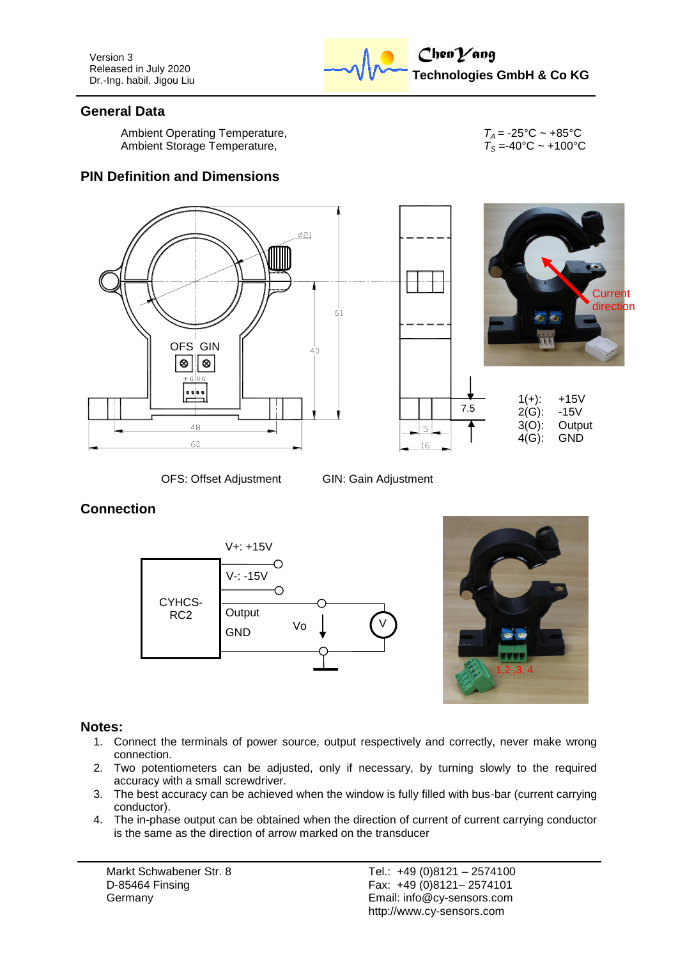Version 3 Released in July 2020 Dr.-Ing. habil. Jigou Liu



### **General Data**

Ambient Operating Temperature,<br>Ambient Storage Temperature,<br>*T*<sub>A</sub> = -40°C ~ +100°C Ambient Storage Temperature,

#### **PIN Definition and Dimensions**





OFS: Offset Adjustment GIN: Gain Adjustment

## **Connection**





#### **Notes:**

- 1. Connect the terminals of power source, output respectively and correctly, never make wrong connection.
- 2. Two potentiometers can be adjusted, only if necessary, by turning slowly to the required accuracy with a small screwdriver.
- 3. The best accuracy can be achieved when the window is fully filled with bus-bar (current carrying conductor).
- 4. The in-phase output can be obtained when the direction of current of current carrying conductor is the same as the direction of arrow marked on the transducer

Markt Schwabener Str. 8 D-85464 Finsing Germany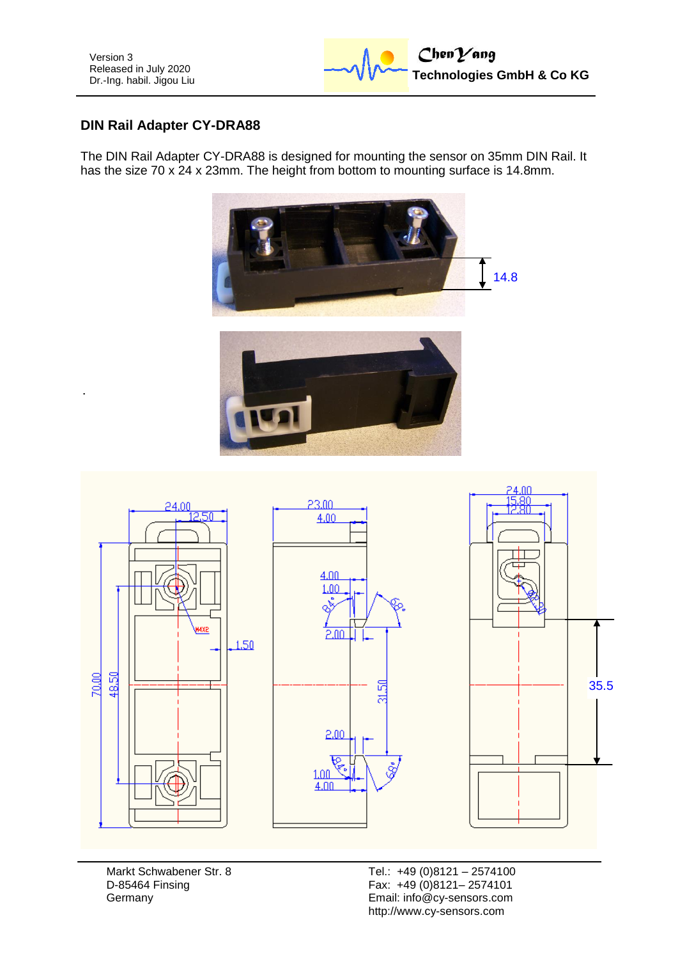

## **DIN Rail Adapter CY-DRA88**

The DIN Rail Adapter CY-DRA88 is designed for mounting the sensor on 35mm DIN Rail. It has the size 70 x 24 x 23mm. The height from bottom to mounting surface is 14.8mm.





Markt Schwabener Str. 8 D-85464 Finsing **Germany**